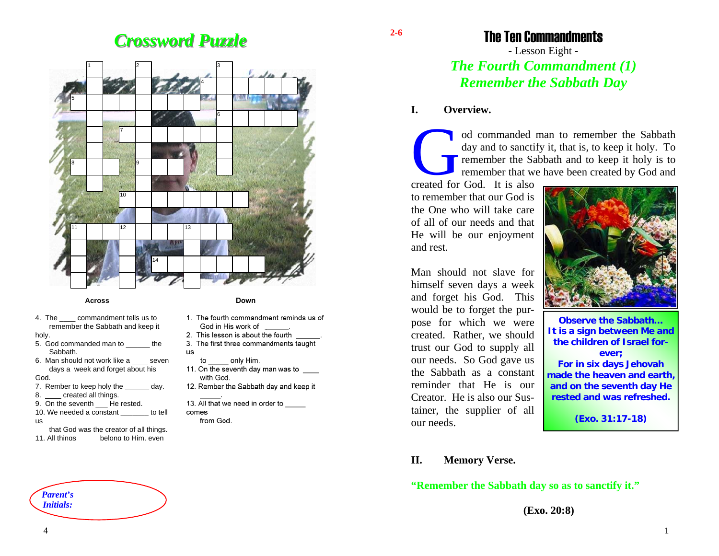# *Crossword Puzzle Crossword Puzzle*



### **Across**

4. The commandment tells us to remember the Sabbath and keep it

holy.

- 5. God commanded man to the Sabbath.
- 6. Man should not work like a seven days a week and forget about his

### God.

- 7. Rember to keep holy the day.
- 8. \_\_\_\_ created all things.
- 9. On the seventh He rested.
- 10. We needed a constant to tell
- us
- that God was the creator of all things. 11. All things belong to Him, even



### Down

- 1. The fourth commandment reminds us of God in His work of
- 2. This lesson is about the fourth
- 3. The first three commandments taught **US**
- to only Him.
- 11. On the seventh day man was to with God.
- 12. Rember the Sabbath day and keep it
- 13. All that we need in order to comes from God.

The Ten Commandments

# - Lesson Eight - *The Fourth Commandment (1) Remember the Sabbath Day*

### **I. Overview.**

**2-6** 

od commanded man to remember the Sabbath day and to sanctify it, that is, to keep it holy. To remember the Sabbath and to keep it holy is to remember that we have been created by God and

created for God. It is also to remember that our God is the One who will take care of all of our needs and that He will be our enjoyment and rest.

Man should not slave for himself seven days a week and forget his God. This would be to forget the purpose for which we were created. Rather, we should trust our God to supply all our needs. So God gave us the Sabbath as a constant reminder that He is our Creator. He is also our Sustainer, the supplier of all our needs.



**Observe the Sabbath… It is a sign between Me and the children of Israel forever;** 

**For in six days Jehovah made the heaven and earth, and on the seventh day He rested and was refreshed.** 

**(Exo. 31:17-18)** 

### **II. Memory Verse.**

**"Remember the Sabbath day so as to sanctify it."** 

**(Exo. 20:8)**